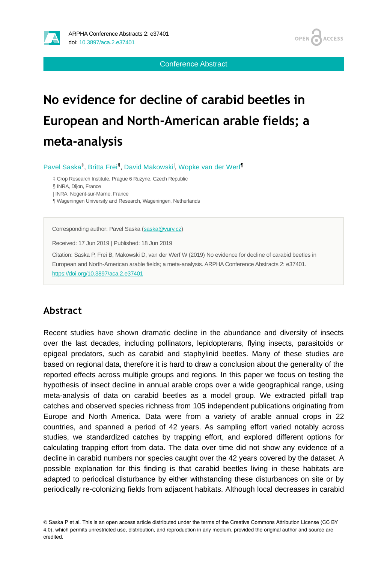

Conference Abstract

## **No evidence for decline of carabid beetles in European and North-American arable fields; a meta-analysis**

Pavel Saska<sup>‡</sup>, Britta Frei<sup>§</sup>, David Makowski<sup>l</sup>, Wopke van der Werf<sup>¶</sup>

‡ Crop Research Institute, Prague 6 Ruzyne, Czech Republic

§ INRA, Dijon, France

| INRA, Nogent-sur-Marne, France

¶ Wageningen University and Research, Wageningen, Netherlands

Corresponding author: Pavel Saska ([saska@vurv.cz](mailto:saska@vurv.cz))

Received: 17 Jun 2019 | Published: 18 Jun 2019

Citation: Saska P, Frei B, Makowski D, van der Werf W (2019) No evidence for decline of carabid beetles in European and North-American arable fields; a meta-analysis. ARPHA Conference Abstracts 2: e37401. <https://doi.org/10.3897/aca.2.e37401>

## **Abstract**

Recent studies have shown dramatic decline in the abundance and diversity of insects over the last decades, including pollinators, lepidopterans, flying insects, parasitoids or epigeal predators, such as carabid and staphylinid beetles. Many of these studies are based on regional data, therefore it is hard to draw a conclusion about the generality of the reported effects across multiple groups and regions. In this paper we focus on testing the hypothesis of insect decline in annual arable crops over a wide geographical range, using meta-analysis of data on carabid beetles as a model group. We extracted pitfall trap catches and observed species richness from 105 independent publications originating from Europe and North America. Data were from a variety of arable annual crops in 22 countries, and spanned a period of 42 years. As sampling effort varied notably across studies, we standardized catches by trapping effort, and explored different options for calculating trapping effort from data. The data over time did not show any evidence of a decline in carabid numbers nor species caught over the 42 years covered by the dataset. A possible explanation for this finding is that carabid beetles living in these habitats are adapted to periodical disturbance by either withstanding these disturbances on site or by periodically re-colonizing fields from adjacent habitats. Although local decreases in carabid

© Saska P et al. This is an open access article distributed under the terms of the Creative Commons Attribution License (CC BY 4.0), which permits unrestricted use, distribution, and reproduction in any medium, provided the original author and source are credited.